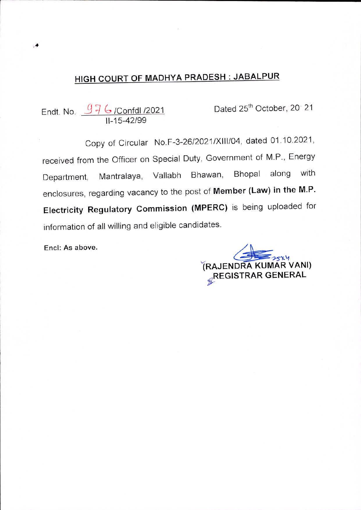# high COURT OF MADHYA PRADESH : JABALPUR

976/ Confdl / 2021 11-15-42/99 Endt. No.  $\frac{97}{6}$  /Confdl /2021 **Dated 25<sup>th</sup> October, 20 21** 

Copy of Circular No.F-3-26/2021/XIII/04, dated 01.10.2021, received from the Officer on Special Duty, Government of M.P., Energy Bhopal along with enclosures, regarding vacancy to the post of **Member (Law) in the M.P**. Department, Mantralaya, Vallabh Bhawan, **Electricity Regulatory Commission (MPERC)** is being uploaded for information of all willing and eligible candidates.

Enel: As above.

^RAJENDRA KUMAR VANI) .REGISTRAR GENERAL **£**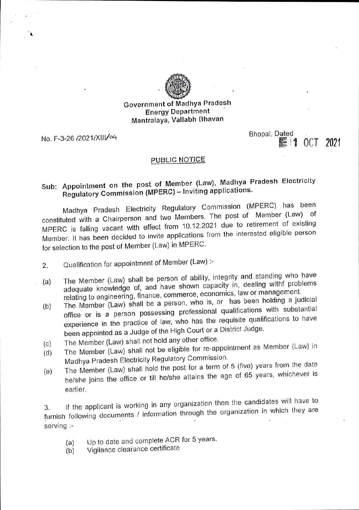

## Government of Madhya Pradesh Energy Department Mantralaya, Vallabh Bhavan

Bhopal, Dated<br>No. F-3-26 /2021/XIII/04 **Bhopal**, Dated Bhopal, Dated **No. F-3-26** /2021

4

#### PUBLIC NOTICE

## Sub: Appointment on the post of Member (Law), Madhya Pradesh Electricity Regulatory Commission (MPERC) - Inviting applications.

Madhya Pradesh Electricity Regulatory Commission (MPERC) has been constituted with a Chairperson and two Members. The post of Member (Law) of MPERC is falling vacant with effect from 10.12.2021 due to retirement of existing Member. It has been decided to invite applications from the interested eligible person for selection to the post of Member (Law) in MPERC

- 2. Qualification for appointment of Member (Law) :-
- The Member (Law) shall be person of ability, integrity and standing who have adequate knowledge of, and have shown capacity in, dealing withf problems relating to engineering, finance, commerce, economics, law or management. (a)
- The Member (Law) shall be a person, who is, or has been holding a judicia office or is a person possessing professional qualifications with substantial experience in the practice of law, who has the requisite qualifications to have (b) been appointed as a Judge of the High Court or a District Judge.
- (c)
- The Member (Law) shall not hold any other office.<br>The Member (Law) shall not be eligible for re-appointment as Member (Law) in **(d)**
- Madhya Pradesh Electricity Regulatory Commission.<br>The Member (Law) shall hold the post for a term of 5 (five) years from the date (e) he/she joins the office or till he/she attains the age of 65 years, whichever is earlier.

If the applicant is working in any organization then the candidates will have to furnish following documents / information through the organization in which they are serving :-

- Up to date and complete ACR for 5 years. (a)
- Vigilance clearance certificate (b)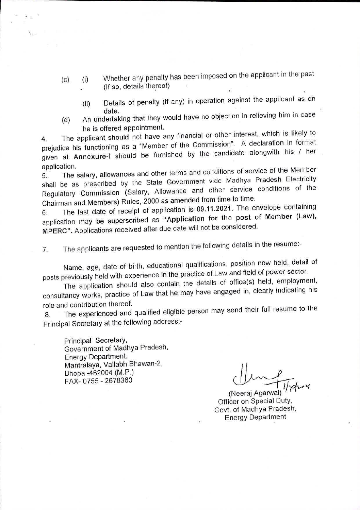- Whether any penalty has been imposed on the applicant in the past (If so, details thereof) **(c) (i)**
	- Details of penalty (if any) in operation against the applicant as or ddt6 An undertaking that they would have no objection in relieving him in case  $(i)$
- he is offered appointment. (d)

The applicant should not have any financial or other interest, which is likely to 4. The applicant should not have any imancial of street the Collaration in format prejudice instructioning as a mean interesting by the candidate alongwith his / her<br>given at Annexure-I should be furnished by the candidate alongwith his / her prejudice his functioning as a

application.<br>5. The salary, allowances and other terms and conditions of service of the Member State this salary, and the State Government vide Madhya Pradesh Electricity<br>shall be as prescribed by the State Government vide Madhya Pradesh Electricity shall be as presensed by the conditions of the<br>Requilatory Commission (Salary, Allowance and other service conditions of the 5.

6. The last date of receipt of application is 09.11.2021. The envelope containing<br>application may be superscribed as "Application for the post of Member (Law), MPERC". Applications received after due date will not be considered.

The applicants are requested to mention the following details in the resume:- 7.

Name, age, date of birth, educational qualifications, position now held, detail of posts previously held with experience in the practice of Law and field of power sector.

The application should also contain the details of office(s) held, employment, consultancy works, practice of Law that he may have engaged in, clearly indicating his role and contribution thereof.

The experienced and qualified eligible person may send their full resume to the Principal Secretary at the following address:- 8.

Principal Secretary, Government of Madhya Pradesh Energy Department, Mantralaya, Vallabh Bhawan-2, Bhopal-462004 (M.P.) FAX- 0755 - 2678360

(Neeraj Agarwal) Officer on Special Duty, Govt, of Madhya Pradesh Energy Department